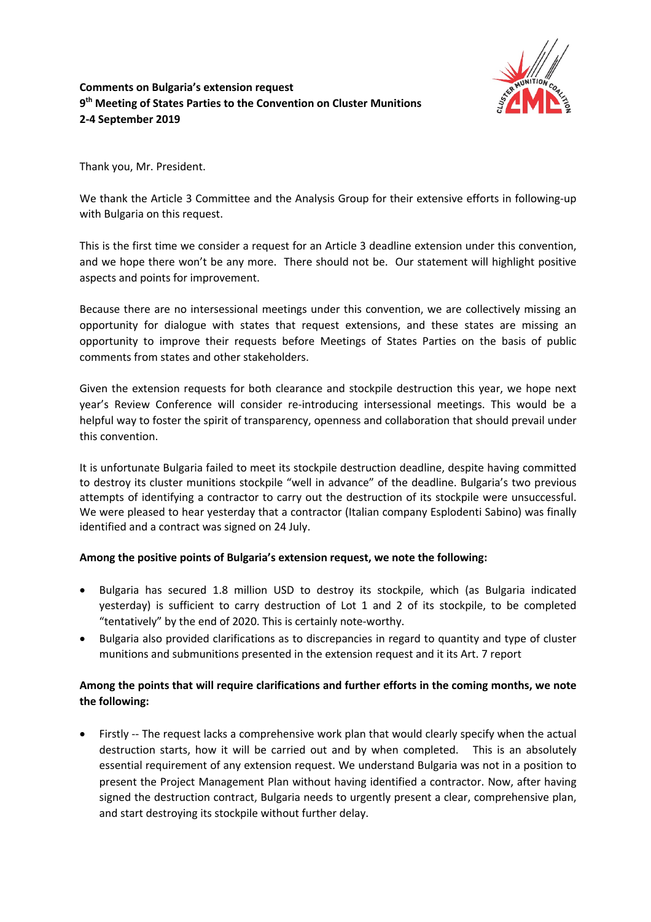

## **Comments on Bulgaria's extension request 9th Meeting of States Parties to the Convention on Cluster Munitions 2-4 September 2019**

Thank you, Mr. President.

We thank the Article 3 Committee and the Analysis Group for their extensive efforts in following-up with Bulgaria on this request.

This is the first time we consider a request for an Article 3 deadline extension under this convention, and we hope there won't be any more. There should not be. Our statement will highlight positive aspects and points for improvement.

Because there are no intersessional meetings under this convention, we are collectively missing an opportunity for dialogue with states that request extensions, and these states are missing an opportunity to improve their requests before Meetings of States Parties on the basis of public comments from states and other stakeholders.

Given the extension requests for both clearance and stockpile destruction this year, we hope next year's Review Conference will consider re-introducing intersessional meetings. This would be a helpful way to foster the spirit of transparency, openness and collaboration that should prevail under this convention.

It is unfortunate Bulgaria failed to meet its stockpile destruction deadline, despite having committed to destroy its cluster munitions stockpile "well in advance" of the deadline. Bulgaria's two previous attempts of identifying a contractor to carry out the destruction of its stockpile were unsuccessful. We were pleased to hear yesterday that a contractor (Italian company Esplodenti Sabino) was finally identified and a contract was signed on 24 July.

## **Among the positive points of Bulgaria's extension request, we note the following:**

- Bulgaria has secured 1.8 million USD to destroy its stockpile, which (as Bulgaria indicated yesterday) is sufficient to carry destruction of Lot 1 and 2 of its stockpile, to be completed "tentatively" by the end of 2020. This is certainly note-worthy.
- Bulgaria also provided clarifications as to discrepancies in regard to quantity and type of cluster munitions and submunitions presented in the extension request and it its Art. 7 report

## **Among the points that will require clarifications and further efforts in the coming months, we note the following:**

• Firstly -- The request lacks a comprehensive work plan that would clearly specify when the actual destruction starts, how it will be carried out and by when completed. This is an absolutely essential requirement of any extension request. We understand Bulgaria was not in a position to present the Project Management Plan without having identified a contractor. Now, after having signed the destruction contract, Bulgaria needs to urgently present a clear, comprehensive plan, and start destroying its stockpile without further delay.